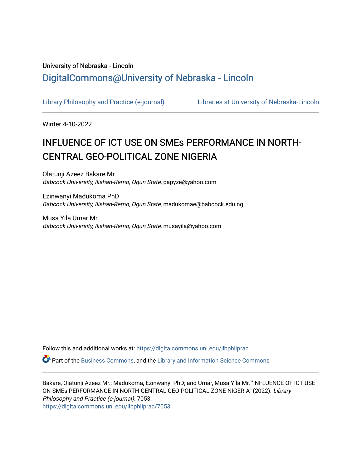# University of Nebraska - Lincoln [DigitalCommons@University of Nebraska - Lincoln](https://digitalcommons.unl.edu/)

[Library Philosophy and Practice \(e-journal\)](https://digitalcommons.unl.edu/libphilprac) [Libraries at University of Nebraska-Lincoln](https://digitalcommons.unl.edu/libraries) 

Winter 4-10-2022

# INFLUENCE OF ICT USE ON SMEs PERFORMANCE IN NORTH-CENTRAL GEO-POLITICAL ZONE NIGERIA

Olatunji Azeez Bakare Mr. Babcock University, Ilishan-Remo, Ogun State, papyze@yahoo.com

Ezinwanyi Madukoma PhD Babcock University, Ilishan-Remo, Ogun State, madukomae@babcock.edu.ng

Musa Yila Umar Mr Babcock University, Ilishan-Remo, Ogun State, musayila@yahoo.com

Follow this and additional works at: [https://digitalcommons.unl.edu/libphilprac](https://digitalcommons.unl.edu/libphilprac?utm_source=digitalcommons.unl.edu%2Flibphilprac%2F7053&utm_medium=PDF&utm_campaign=PDFCoverPages) 

Part of the [Business Commons](http://network.bepress.com/hgg/discipline/622?utm_source=digitalcommons.unl.edu%2Flibphilprac%2F7053&utm_medium=PDF&utm_campaign=PDFCoverPages), and the [Library and Information Science Commons](http://network.bepress.com/hgg/discipline/1018?utm_source=digitalcommons.unl.edu%2Flibphilprac%2F7053&utm_medium=PDF&utm_campaign=PDFCoverPages) 

Bakare, Olatunji Azeez Mr.; Madukoma, Ezinwanyi PhD; and Umar, Musa Yila Mr, "INFLUENCE OF ICT USE ON SMEs PERFORMANCE IN NORTH-CENTRAL GEO-POLITICAL ZONE NIGERIA" (2022). Library Philosophy and Practice (e-journal). 7053. [https://digitalcommons.unl.edu/libphilprac/7053](https://digitalcommons.unl.edu/libphilprac/7053?utm_source=digitalcommons.unl.edu%2Flibphilprac%2F7053&utm_medium=PDF&utm_campaign=PDFCoverPages)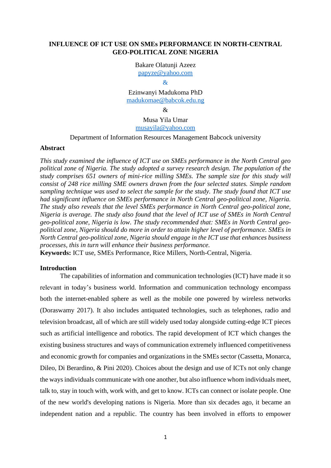## **INFLUENCE OF ICT USE ON SMEs PERFORMANCE IN NORTH-CENTRAL GEO-POLITICAL ZONE NIGERIA**

Bakare Olatunji Azeez

[papyze@yahoo.com](mailto:papyze@yahoo.com)

Ezinwanyi Madukoma PhD [madukomae@babcok.edu.ng](mailto:madukomae@babcok.edu.ng)

 $\mathcal{R}$ 

Musa Yila Umar [musayila@yahoo.com](mailto:musayila@yahoo.com)

Department of Information Resources Management Babcock university

#### **Abstract**

*This study examined the influence of ICT use on SMEs performance in the North Central geo political zone of Nigeria. The study adopted a survey research design. The population of the study comprises 651 owners of mini-rice milling SMEs. The sample size for this study will consist of 248 rice milling SME owners drawn from the four selected states. Simple random sampling technique was used to select the sample for the study. The study found that ICT use had significant influence on SMEs performance in North Central geo-political zone, Nigeria. The study also reveals that the level SMEs performance in North Central geo-political zone, Nigeria is average. The study also found that the level of ICT use of SMEs in North Central geo-political zone, Nigeria is low. The study recommended that: SMEs in North Central geopolitical zone, Nigeria should do more in order to attain higher level of performance. SMEs in North Central geo-political zone, Nigeria should engage in the ICT use that enhances business processes, this in turn will enhance their business performance.*

**Keywords:** ICT use, SMEs Performance, Rice Millers, North-Central, Nigeria.

#### **Introduction**

The capabilities of information and communication technologies (ICT) have made it so relevant in today's business world. Information and communication technology encompass both the internet-enabled sphere as well as the mobile one powered by wireless networks (Doraswamy 2017). It also includes antiquated technologies, such as telephones, radio and television broadcast, all of which are still widely used today alongside cutting-edge ICT pieces such as artificial intelligence and robotics. The rapid development of ICT which changes the existing business structures and ways of communication extremely influenced competitiveness and economic growth for companies and organizations in the SMEs sector (Cassetta, Monarca, Dileo, Di Berardino, & Pini 2020). Choices about the design and use of ICTs not only change the ways individuals communicate with one another, but also influence whom individuals meet, talk to, stay in touch with, work with, and get to know. ICTs can connect or isolate people. One of the new world's developing nations is Nigeria. More than six decades ago, it became an independent nation and a republic. The country has been involved in efforts to empower

<sup>&</sup>amp;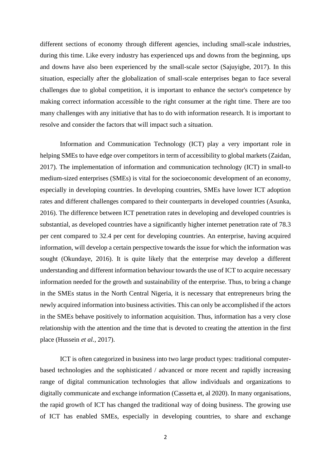different sections of economy through different agencies, including small-scale industries, during this time. Like every industry has experienced ups and downs from the beginning, ups and downs have also been experienced by the small-scale sector (Sajuyigbe, 2017). In this situation, especially after the globalization of small-scale enterprises began to face several challenges due to global competition, it is important to enhance the sector's competence by making correct information accessible to the right consumer at the right time. There are too many challenges with any initiative that has to do with information research. It is important to resolve and consider the factors that will impact such a situation.

Information and Communication Technology (ICT) play a very important role in helping SMEs to have edge over competitors in term of accessibility to global markets (Zaidan, 2017). The implementation of information and communication technology (ICT) in small-to medium-sized enterprises (SMEs) is vital for the socioeconomic development of an economy, especially in developing countries. In developing countries, SMEs have lower ICT adoption rates and different challenges compared to their counterparts in developed countries (Asunka, 2016). The difference between ICT penetration rates in developing and developed countries is substantial, as developed countries have a significantly higher internet penetration rate of 78.3 per cent compared to 32.4 per cent for developing countries. An enterprise, having acquired information, will develop a certain perspective towards the issue for which the information was sought (Okundaye, 2016). It is quite likely that the enterprise may develop a different understanding and different information behaviour towards the use of ICT to acquire necessary information needed for the growth and sustainability of the enterprise. Thus, to bring a change in the SMEs status in the North Central Nigeria, it is necessary that entrepreneurs bring the newly acquired information into business activities. This can only be accomplished if the actors in the SMEs behave positively to information acquisition. Thus, information has a very close relationship with the attention and the time that is devoted to creating the attention in the first place (Hussein *et al.,* 2017).

ICT is often categorized in business into two large product types: traditional computerbased technologies and the sophisticated / advanced or more recent and rapidly increasing range of digital communication technologies that allow individuals and organizations to digitally communicate and exchange information (Cassetta et, al 2020). In many organisations, the rapid growth of ICT has changed the traditional way of doing business. The growing use of ICT has enabled SMEs, especially in developing countries, to share and exchange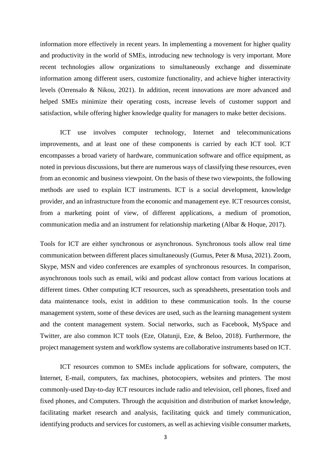information more effectively in recent years. In implementing a movement for higher quality and productivity in the world of SMEs, introducing new technology is very important. More recent technologies allow organizations to simultaneously exchange and disseminate information among different users, customize functionality, and achieve higher interactivity levels (Orrensalo & Nikou, 2021). In addition, recent innovations are more advanced and helped SMEs minimize their operating costs, increase levels of customer support and satisfaction, while offering higher knowledge quality for managers to make better decisions.

ICT use involves computer technology, Internet and telecommunications improvements, and at least one of these components is carried by each ICT tool. ICT encompasses a broad variety of hardware, communication software and office equipment, as noted in previous discussions, but there are numerous ways of classifying these resources, even from an economic and business viewpoint. On the basis of these two viewpoints, the following methods are used to explain ICT instruments. ICT is a social development, knowledge provider, and an infrastructure from the economic and management eye. ICT resources consist, from a marketing point of view, of different applications, a medium of promotion, communication media and an instrument for relationship marketing (Albar & Hoque, 2017).

Tools for ICT are either synchronous or asynchronous. Synchronous tools allow real time communication between different places simultaneously (Gumus, Peter & Musa, 2021). Zoom, Skype, MSN and video conferences are examples of synchronous resources. In comparison, asynchronous tools such as email, wiki and podcast allow contact from various locations at different times. Other computing ICT resources, such as spreadsheets, presentation tools and data maintenance tools, exist in addition to these communication tools. In the course management system, some of these devices are used, such as the learning management system and the content management system. Social networks, such as Facebook, MySpace and Twitter, are also common ICT tools (Eze, Olatunji, Eze, & Beloo, 2018). Furthermore, the project management system and workflow systems are collaborative instruments based on ICT.

ICT resources common to SMEs include applications for software, computers, the Internet, E-mail, computers, fax machines, photocopiers, websites and printers. The most commonly-used Day-to-day ICT resources include radio and television, cell phones, fixed and fixed phones, and Computers. Through the acquisition and distribution of market knowledge, facilitating market research and analysis, facilitating quick and timely communication, identifying products and services for customers, as well as achieving visible consumer markets,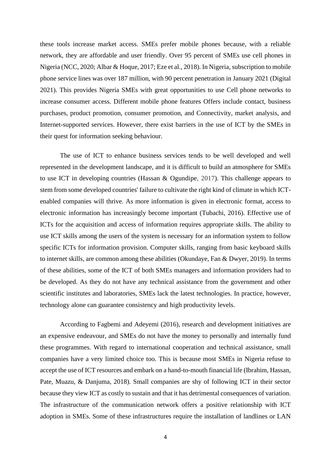these tools increase market access. SMEs prefer mobile phones because, with a reliable network, they are affordable and user friendly. Over 95 percent of SMEs use cell phones in Nigeria (NCC, 2020; Albar & Hoque, 2017; Eze et al., 2018). In Nigeria, subscription to mobile phone service lines was over 187 million, with 90 percent penetration in January 2021 (Digital 2021). This provides Nigeria SMEs with great opportunities to use Cell phone networks to increase consumer access. Different mobile phone features Offers include contact, business purchases, product promotion, consumer promotion, and Connectivity, market analysis, and Internet-supported services. However, there exist barriers in the use of ICT by the SMEs in their quest for information seeking behaviour.

The use of ICT to enhance business services tends to be well developed and well represented in the development landscape, and it is difficult to build an atmosphere for SMEs to use ICT in developing countries (Hassan & Ogundipe, 2017). This challenge appears to stem from some developed countries' failure to cultivate the right kind of climate in which ICTenabled companies will thrive. As more information is given in electronic format, access to electronic information has increasingly become important (Tubachi, 2016). Effective use of ICTs for the acquisition and access of information requires appropriate skills. The ability to use ICT skills among the users of the system is necessary for an information system to follow specific ICTs for information provision. Computer skills, ranging from basic keyboard skills to internet skills, are common among these abilities (Okundaye, Fan & Dwyer, 2019). In terms of these abilities, some of the ICT of both SMEs managers and information providers had to be developed. As they do not have any technical assistance from the government and other scientific institutes and laboratories, SMEs lack the latest technologies. In practice, however, technology alone can guarantee consistency and high productivity levels.

According to Fagbemi and Adeyemi (2016), research and development initiatives are an expensive endeavour, and SMEs do not have the money to personally and internally fund these programmes. With regard to international cooperation and technical assistance, small companies have a very limited choice too. This is because most SMEs in Nigeria refuse to accept the use of ICT resources and embark on a hand-to-mouth financial life (Ibrahim, Hassan, Pate, Muazu, & Danjuma, 2018). Small companies are shy of following ICT in their sector because they view ICT as costly to sustain and that it has detrimental consequences of variation. The infrastructure of the communication network offers a positive relationship with ICT adoption in SMEs. Some of these infrastructures require the installation of landlines or LAN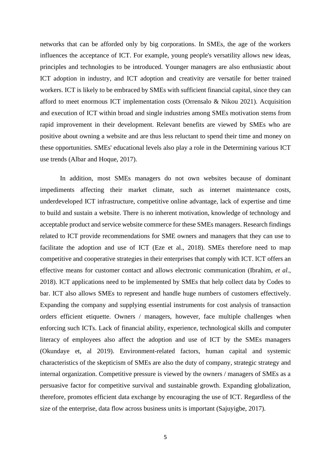networks that can be afforded only by big corporations. In SMEs, the age of the workers influences the acceptance of ICT. For example, young people's versatility allows new ideas, principles and technologies to be introduced. Younger managers are also enthusiastic about ICT adoption in industry, and ICT adoption and creativity are versatile for better trained workers. ICT is likely to be embraced by SMEs with sufficient financial capital, since they can afford to meet enormous ICT implementation costs (Orrensalo & Nikou 2021). Acquisition and execution of ICT within broad and single industries among SMEs motivation stems from rapid improvement in their development. Relevant benefits are viewed by SMEs who are positive about owning a website and are thus less reluctant to spend their time and money on these opportunities. SMEs' educational levels also play a role in the Determining various ICT use trends (Albar and Hoque, 2017).

In addition, most SMEs managers do not own websites because of dominant impediments affecting their market climate, such as internet maintenance costs, underdeveloped ICT infrastructure, competitive online advantage, lack of expertise and time to build and sustain a website. There is no inherent motivation, knowledge of technology and acceptable product and service website commerce for these SMEs managers. Research findings related to ICT provide recommendations for SME owners and managers that they can use to facilitate the adoption and use of ICT (Eze et al., 2018). SMEs therefore need to map competitive and cooperative strategies in their enterprises that comply with ICT. ICT offers an effective means for customer contact and allows electronic communication (Ibrahim, *et al.,*  2018). ICT applications need to be implemented by SMEs that help collect data by Codes to bar. ICT also allows SMEs to represent and handle huge numbers of customers effectively. Expanding the company and supplying essential instruments for cost analysis of transaction orders efficient etiquette. Owners / managers, however, face multiple challenges when enforcing such ICTs. Lack of financial ability, experience, technological skills and computer literacy of employees also affect the adoption and use of ICT by the SMEs managers (Okundaye et, al 2019). Environment-related factors, human capital and systemic characteristics of the skepticism of SMEs are also the duty of company, strategic strategy and internal organization. Competitive pressure is viewed by the owners / managers of SMEs as a persuasive factor for competitive survival and sustainable growth. Expanding globalization, therefore, promotes efficient data exchange by encouraging the use of ICT. Regardless of the size of the enterprise, data flow across business units is important (Sajuyigbe, 2017).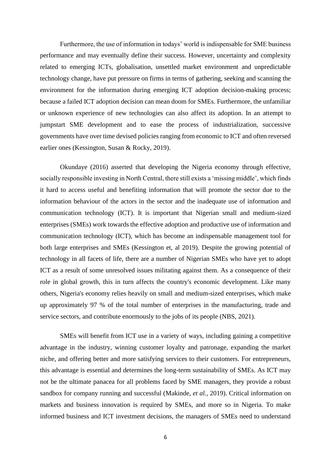Furthermore, the use of information in todays' world is indispensable for SME business performance and may eventually define their success. However, uncertainty and complexity related to emerging ICTs, globalisation, unsettled market environment and unpredictable technology change, have put pressure on firms in terms of gathering, seeking and scanning the environment for the information during emerging ICT adoption decision-making process; because a failed ICT adoption decision can mean doom for SMEs. Furthermore, the unfamiliar or unknown experience of new technologies can also affect its adoption. In an attempt to jumpstart SME development and to ease the process of industrialization, successive governments have over time devised policies ranging from economic to ICT and often reversed earlier ones (Kessington, Susan & Rocky, 2019).

Okundaye (2016) asserted that developing the Nigeria economy through effective, socially responsible investing in North Central, there still exists a 'missing middle', which finds it hard to access useful and benefiting information that will promote the sector due to the information behaviour of the actors in the sector and the inadequate use of information and communication technology (ICT). It is important that Nigerian small and medium-sized enterprises (SMEs) work towards the effective adoption and productive use of information and communication technology (ICT), which has become an indispensable management tool for both large enterprises and SMEs (Kessington et, al 2019). Despite the growing potential of technology in all facets of life, there are a number of Nigerian SMEs who have yet to adopt ICT as a result of some unresolved issues militating against them. As a consequence of their role in global growth, this in turn affects the country's economic development. Like many others, Nigeria's economy relies heavily on small and medium-sized enterprises, which make up approximately 97 % of the total number of enterprises in the manufacturing, trade and service sectors, and contribute enormously to the jobs of its people (NBS, 2021).

SMEs will benefit from ICT use in a variety of ways, including gaining a competitive advantage in the industry, winning customer loyalty and patronage, expanding the market niche, and offering better and more satisfying services to their customers. For entrepreneurs, this advantage is essential and determines the long-term sustainability of SMEs. As ICT may not be the ultimate panacea for all problems faced by SME managers, they provide a robust sandbox for company running and successful (Makinde, *et al.,* 2019). Critical information on markets and business innovation is required by SMEs, and more so in Nigeria. To make informed business and ICT investment decisions, the managers of SMEs need to understand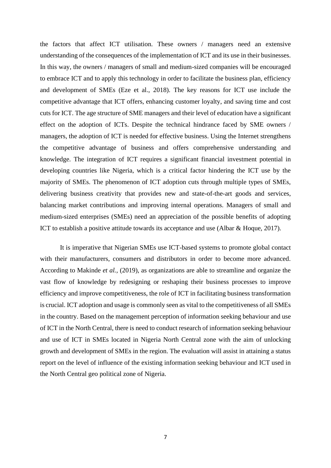the factors that affect ICT utilisation. These owners / managers need an extensive understanding of the consequences of the implementation of ICT and its use in their businesses. In this way, the owners / managers of small and medium-sized companies will be encouraged to embrace ICT and to apply this technology in order to facilitate the business plan, efficiency and development of SMEs (Eze et al., 2018). The key reasons for ICT use include the competitive advantage that ICT offers, enhancing customer loyalty, and saving time and cost cuts for ICT. The age structure of SME managers and their level of education have a significant effect on the adoption of ICTs. Despite the technical hindrance faced by SME owners / managers, the adoption of ICT is needed for effective business. Using the Internet strengthens the competitive advantage of business and offers comprehensive understanding and knowledge. The integration of ICT requires a significant financial investment potential in developing countries like Nigeria, which is a critical factor hindering the ICT use by the majority of SMEs. The phenomenon of ICT adoption cuts through multiple types of SMEs, delivering business creativity that provides new and state-of-the-art goods and services, balancing market contributions and improving internal operations. Managers of small and medium-sized enterprises (SMEs) need an appreciation of the possible benefits of adopting ICT to establish a positive attitude towards its acceptance and use (Albar & Hoque, 2017).

It is imperative that Nigerian SMEs use ICT-based systems to promote global contact with their manufacturers, consumers and distributors in order to become more advanced. According to Makinde *et al.,* (2019), as organizations are able to streamline and organize the vast flow of knowledge by redesigning or reshaping their business processes to improve efficiency and improve competitiveness, the role of ICT in facilitating business transformation is crucial. ICT adoption and usage is commonly seen as vital to the competitiveness of all SMEs in the country. Based on the management perception of information seeking behaviour and use of ICT in the North Central, there is need to conduct research of information seeking behaviour and use of ICT in SMEs located in Nigeria North Central zone with the aim of unlocking growth and development of SMEs in the region. The evaluation will assist in attaining a status report on the level of influence of the existing information seeking behaviour and ICT used in the North Central geo political zone of Nigeria.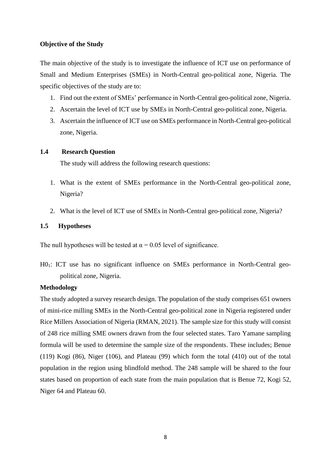#### **Objective of the Study**

The main objective of the study is to investigate the influence of ICT use on performance of Small and Medium Enterprises (SMEs) in North-Central geo-political zone, Nigeria. The specific objectives of the study are to:

- 1. Find out the extent of SMEs' performance in North-Central geo-political zone, Nigeria.
- 2. Ascertain the level of ICT use by SMEs in North-Central geo-political zone, Nigeria.
- 3. Ascertain the influence of ICT use on SMEs performance in North-Central geo-political zone, Nigeria.

## **1.4 Research Question**

The study will address the following research questions:

- 1. What is the extent of SMEs performance in the North-Central geo-political zone, Nigeria?
- 2. What is the level of ICT use of SMEs in North-Central geo-political zone, Nigeria?

## **1.5 Hypotheses**

The null hypotheses will be tested at  $\alpha$  = 0.05 level of significance.

H01: ICT use has no significant influence on SMEs performance in North-Central geopolitical zone, Nigeria.

#### **Methodology**

The study adopted a survey research design. The population of the study comprises 651 owners of mini-rice milling SMEs in the North-Central geo-political zone in Nigeria registered under Rice Millers Association of Nigeria (RMAN, 2021). The sample size for this study will consist of 248 rice milling SME owners drawn from the four selected states. Taro Yamane sampling formula will be used to determine the sample size of the respondents. These includes; Benue (119) Kogi (86), Niger (106), and Plateau (99) which form the total (410) out of the total population in the region using blindfold method. The 248 sample will be shared to the four states based on proportion of each state from the main population that is Benue 72, Kogi 52, Niger 64 and Plateau 60.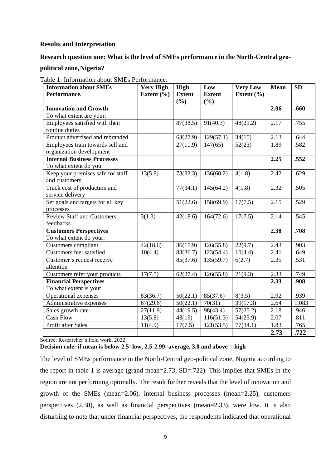### **Results and Interpretation**

### **Research question one: What is the level of SMEs performance in the North-Central geo-**

**political zone,Nigeria?**

| <b>Information about SMEs</b><br>Performance. | <b>Very High</b><br>Extent $(\% )$ | High<br><b>Extent</b> | Low<br><b>Extent</b> | <b>Very Low</b><br>Extent $(\% )$ | <b>Mean</b> | <b>SD</b> |
|-----------------------------------------------|------------------------------------|-----------------------|----------------------|-----------------------------------|-------------|-----------|
|                                               |                                    | (%)                   | (%)                  |                                   |             |           |
| <b>Innovation and Growth</b>                  |                                    |                       |                      |                                   | 2.06        | .660      |
| To what extent are your:                      |                                    |                       |                      |                                   |             |           |
| Employees satisfied with their                |                                    | 87(38.5)              | 91(40.3)             | 48(21.2)                          | 2.17        | .755      |
| routine duties                                |                                    |                       |                      |                                   |             |           |
| Product advertised and rebranded              |                                    | 63(27.9)              | 129(57.1)            | 34(15)                            | 2.13        | .644      |
| Employees train towards self and              |                                    | 27(11.9)              | 147(65)              | 52(23)                            | 1.89        | .582      |
| organization development                      |                                    |                       |                      |                                   |             |           |
| <b>Internal Business Processes</b>            |                                    |                       |                      |                                   | 2.25        | .552      |
| To what extent do you:                        |                                    |                       |                      |                                   |             |           |
| Keep your premises safe for staff             | 13(5.8)                            | 73(32.3)              | 136(60.2)            | 4(1.8)                            | 2.42        | .629      |
| and customers                                 |                                    |                       |                      |                                   |             |           |
| Track cost of production and                  |                                    | 77(34.1)              | 145(64.2)            | 4(1.8)                            | 2.32        | .505      |
| service delivery                              |                                    |                       |                      |                                   |             |           |
| Set goals and targets for all key             |                                    | 51(22.6)              | 158(69.9)            | 17(7.5)                           | 2.15        | .529      |
| processes                                     |                                    |                       |                      |                                   |             |           |
| <b>Review Staff and Customers</b>             | 3(1.3)                             | 42(18.6)              | 164(72.6)            | 17(7.5)                           | 2.14        | .545      |
| feedbacks                                     |                                    |                       |                      |                                   |             |           |
| <b>Customers Perspectives</b>                 |                                    |                       |                      |                                   | 2.38        | .708      |
| To what extent do your:                       |                                    |                       |                      |                                   |             |           |
| <b>Customers</b> compliant                    | 42(18.6)                           | 36(15.9)              | 126(55.8)            | 22(9.7)                           | 2.43        | .903      |
| Customers feel satisfied                      | 10(4.4)                            | 83(36.7)              | 123(54.4)            | 10(4.4)                           | 2.41        | .649      |
| Customer's request receive                    |                                    | 85(37.6)              | 135(59.7)            | 6(2.7)                            | 2.35        | .531      |
| attention                                     |                                    |                       |                      |                                   |             |           |
| Customers refer your products                 | 17(7.5)                            | 62(27.4)              | 126(55.8)            | 21(9.3)                           | 2.33        | .749      |
| <b>Financial Perspectives</b>                 |                                    |                       |                      |                                   | 2.33        | .908      |
| To what extent is your:                       |                                    |                       |                      |                                   |             |           |
| Operational expenses                          | 83(36.7)                           | 50(22.1)              | 85(37.6)             | 8(3.5)                            | 2.92        | .939      |
| Administrative expenses                       | 67(29.6)                           | 50(22.1)              | 70(31)               | 39(17.3)                          | 2.64        | 1.083     |
| Sales growth rate                             | 27(11.9)                           | 44(19.5)              | 98(43.4)             | 57(25.2)                          | 2.18        | .946      |
| <b>Cash Flow</b>                              | 13(5.8)                            | 43(19)                | 116(51.3)            | 54(23.9)                          | 2.07        | .811      |
| Profit after Sales                            | 11(4.9)                            | 17(7.5)               | 121(53.5)            | 77(34.1)                          | 1.83        | .765      |
|                                               |                                    |                       |                      |                                   | 2.73        | .722      |

Table 1: Information about SMEs Performance.

Source: Researcher's field work, 2022

**Decision rule: if mean is below 2.5=low, 2.5-2.99=average, 3.0 and above = high**

The level of SMEs performance in the North-Central geo-political zone, Nigeria according to the report in table 1 is average (grand mean=2.73, SD=.722). This implies that SMEs in the region are not performing optimally. The result further reveals that the level of innovation and growth of the SMEs (mean=2.06), internal business processes (mean=2.25), customers perspectives (2.38), as well as financial perspectives (mean=2.33), were low. It is also disturbing to note that under financial perspectives, the respondents indicated that operational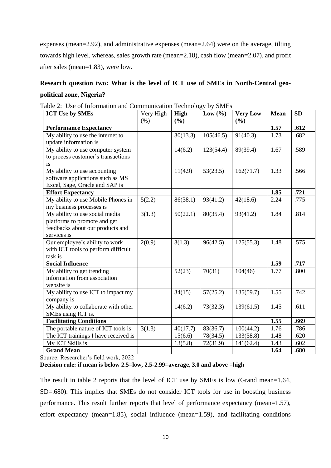expenses (mean=2.92), and administrative expenses (mean=2.64) were on the average, tilting towards high level, whereas, sales growth rate (mean=2.18), cash flow (mean=2.07), and profit after sales (mean=1.83), were low.

# **Research question two: What is the level of ICT use of SMEs in North-Central geopolitical zone, Nigeria?**

| <b>ICT Use by SMEs</b>                                                                                            | Very High | <b>High</b> | Low $(\% )$ | <b>Very Low</b> | <b>Mean</b> | <b>SD</b> |
|-------------------------------------------------------------------------------------------------------------------|-----------|-------------|-------------|-----------------|-------------|-----------|
|                                                                                                                   | $(\% )$   | (%)         |             | (%)             |             |           |
| <b>Performance Expectancy</b>                                                                                     |           |             |             |                 | 1.57        | .612      |
| My ability to use the internet to<br>update information is                                                        |           | 30(13.3)    | 105(46.5)   | 91(40.3)        | 1.73        | .682      |
| My ability to use computer system<br>to process customer's transactions<br>is                                     |           | 14(6.2)     | 123(54.4)   | 89(39.4)        | 1.67        | .589      |
| My ability to use accounting<br>software applications such as MS<br>Excel, Sage, Oracle and SAP is                |           | 11(4.9)     | 53(23.5)    | 162(71.7)       | 1.33        | .566      |
| <b>Effort Expectancy</b>                                                                                          |           |             |             |                 | 1.85        | .721      |
| My ability to use Mobile Phones in<br>my business processes is                                                    | 5(2.2)    | 86(38.1)    | 93(41.2)    | 42(18.6)        | 2.24        | .775      |
| My ability to use social media<br>platforms to promote and get<br>feedbacks about our products and<br>services is | 3(1.3)    | 50(22.1)    | 80(35.4)    | 93(41.2)        | 1.84        | .814      |
| Our employee's ability to work<br>with ICT tools to perform difficult<br>task is                                  | 2(0.9)    | 3(1.3)      | 96(42.5)    | 125(55.3)       | 1.48        | .575      |
| <b>Social Influence</b>                                                                                           |           |             |             |                 | 1.59        | .717      |
| My ability to get trending<br>information from association<br>website is                                          |           | 52(23)      | 70(31)      | 104(46)         | 1.77        | .800      |
| My ability to use ICT to impact my<br>company is                                                                  |           | 34(15)      | 57(25.2)    | 135(59.7)       | 1.55        | .742      |
| My ability to collaborate with other<br>SMEs using ICT is.                                                        |           | 14(6.2)     | 73(32.3)    | 139(61.5)       | 1.45        | .611      |
| <b>Facilitating Conditions</b>                                                                                    |           |             |             |                 | 1.55        | .669      |
| The portable nature of ICT tools is                                                                               | 3(1.3)    | 40(17.7)    | 83(36.7)    | 100(44.2)       | 1.76        | .786      |
| The ICT trainings I have received is                                                                              |           | 15(6.6)     | 78(34.5)    | 133(58.8)       | 1.48        | .620      |
| My ICT Skills is                                                                                                  |           | 13(5.8)     | 72(31.9)    | 141(62.4)       | 1.43        | .602      |
| <b>Grand Mean</b><br>$\mathbf{r}$<br>$C = 1, 1$<br>0.022                                                          |           |             |             |                 | 1.64        | .680      |

|  |  | Table 2: Use of Information and Communication Technology by SMEs |  |  |  |  |
|--|--|------------------------------------------------------------------|--|--|--|--|
|--|--|------------------------------------------------------------------|--|--|--|--|

Source: Researcher's field work, 2022

## **Decision rule: if mean is below 2.5=low, 2.5-2.99=average, 3.0 and above =high**

The result in table 2 reports that the level of ICT use by SMEs is low (Grand mean=1.64, SD=.680). This implies that SMEs do not consider ICT tools for use in boosting business performance. This result further reports that level of performance expectancy (mean=1.57), effort expectancy (mean=1.85), social influence (mean=1.59), and facilitating conditions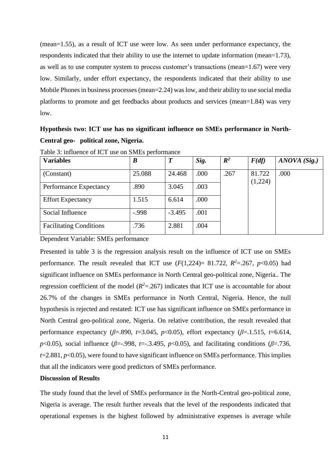(mean=1.55), as a result of ICT use were low. As seen under performance expectancy, the respondents indicated that their ability to use the internet to update information (mean=1.73), as well as to use computer system to process customer's transactions (mean=1.67) were very low. Similarly, under effort expectancy, the respondents indicated that their ability to use Mobile Phones in business processes (mean=2.24) was low, and their ability to use social media platforms to promote and get feedbacks about products and services (mean=1.84) was very low.

# **Hypothesis two: ICT use has no significant influence on SMEs performance in North-Central geo- political zone, Nigeria.**

| <b>Variables</b>               | $\boldsymbol{B}$ | $\boldsymbol{T}$ | Sig. | $\mathbb{R}^2$ | F(df)             | ANOVA (Sig.) |
|--------------------------------|------------------|------------------|------|----------------|-------------------|--------------|
| (Constant)                     | 25.088           | 24.468           | .000 | .267           | 81.722<br>(1,224) | .000         |
| Performance Expectancy         | .890             | 3.045            | .003 |                |                   |              |
| <b>Effort Expectancy</b>       | 1.515            | 6.614            | .000 |                |                   |              |
| Social Influence               | $-.998$          | $-3.495$         | .001 |                |                   |              |
| <b>Facilitating Conditions</b> | .736             | 2.881            | .004 |                |                   |              |

Table 3: influence of ICT use on SMEs performance

Dependent Variable: SMEs performance

Presented in table 3 is the regression analysis result on the influence of ICT use on SMEs performance. The result revealed that ICT use  $(F(1,224)= 81.722, R^2 = 267, p < 0.05)$  had significant influence on SMEs performance in North Central geo-political zone, Nigeria.. The regression coefficient of the model  $(R^2 = .267)$  indicates that ICT use is accountable for about 26.7% of the changes in SMEs performance in North Central, Nigeria. Hence, the null hypothesis is rejected and restated: ICT use has significant influence on SMEs performance in North Central geo-political zone, Nigeria. On relative contribution, the result revealed that performance expectancy ( $\beta$ =.890, *t*=3.045, *p*<0.05), effort expectancy ( $\beta$ =.1.515, *t*=6.614, *p*<0.05), social influence (*β*=-.998, *t*=-.3.495, *p*<0.05), and facilitating conditions (*β*=.736, *t*=2.881, *p*<0.05), were found to have significant influence on SMEs performance. This implies that all the indicators were good predictors of SMEs performance.

#### **Discussion of Results**

The study found that the level of SMEs performance in the North-Central geo-political zone, Nigeria is average. The result further reveals that the level of the respondents indicated that operational expenses is the highest followed by administrative expenses is average while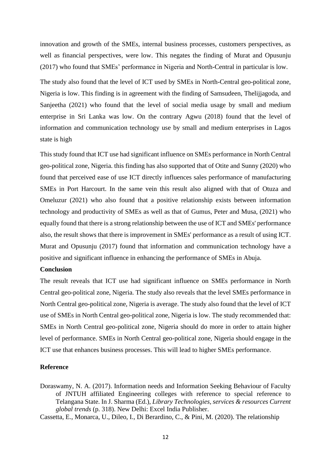innovation and growth of the SMEs, internal business processes, customers perspectives, as well as financial perspectives, were low. This negates the finding of Murat and Opusunju (2017) who found that SMEs' performance in Nigeria and North-Central in particular is low.

The study also found that the level of ICT used by SMEs in North-Central geo-political zone, Nigeria is low. This finding is in agreement with the finding of Samsudeen, Thelijjagoda, and Sanjeetha (2021) who found that the level of social media usage by small and medium enterprise in Sri Lanka was low. On the contrary Agwu (2018) found that the level of information and communication technology use by small and medium enterprises in Lagos state is high

This study found that ICT use had significant influence on SMEs performance in North Central geo-political zone, Nigeria. this finding has also supported that of Otite and Sunny (2020) who found that perceived ease of use ICT directly influences sales performance of manufacturing SMEs in Port Harcourt. In the same vein this result also aligned with that of Otuza and Omeluzur (2021) who also found that a positive relationship exists between information technology and productivity of SMEs as well as that of Gumus, Peter and Musa, (2021) who equally found that there is a strong relationship between the use of ICT and SMEs' performance also, the result shows that there is improvement in SMEs' performance as a result of using ICT. Murat and Opusunju (2017) found that information and communication technology have a positive and significant influence in enhancing the performance of SMEs in Abuja.

#### **Conclusion**

The result reveals that ICT use had significant influence on SMEs performance in North Central geo-political zone, Nigeria. The study also reveals that the level SMEs performance in North Central geo-political zone, Nigeria is average. The study also found that the level of ICT use of SMEs in North Central geo-political zone, Nigeria is low. The study recommended that: SMEs in North Central geo-political zone, Nigeria should do more in order to attain higher level of performance. SMEs in North Central geo-political zone, Nigeria should engage in the ICT use that enhances business processes. This will lead to higher SMEs performance.

#### **Reference**

Doraswamy, N. A. (2017). Information needs and Information Seeking Behaviour of Faculty of JNTUH affiliated Engineering colleges with reference to special reference to Telangana State. In J. Sharma (Ed.), *Library Technologies, services & resources Current global trends* (p. 318). New Delhi: Excel India Publisher.

Cassetta, E., Monarca, U., Dileo, I., Di Berardino, C., & Pini, M. (2020). The relationship